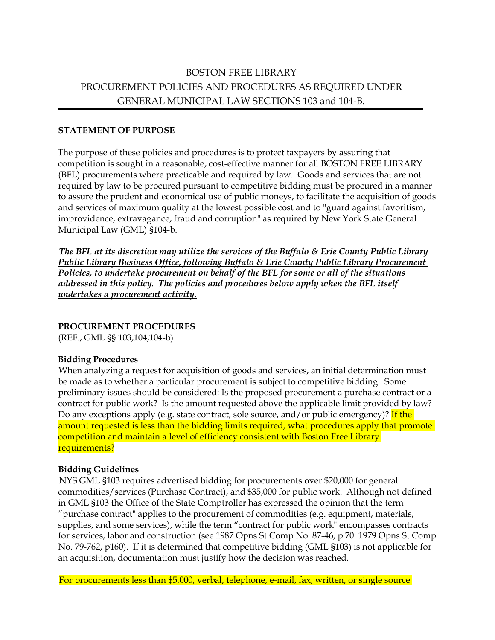# BOSTON FREE LIBRARY PROCUREMENT POLICIES AND PROCEDURES AS REQUIRED UNDER GENERAL MUNICIPAL LAW SECTIONS 103 and 104-B.

#### **STATEMENT OF PURPOSE**

The purpose of these policies and procedures is to protect taxpayers by assuring that competition is sought in a reasonable, cost-effective manner for all BOSTON FREE LIBRARY (BFL) procurements where practicable and required by law. Goods and services that are not required by law to be procured pursuant to competitive bidding must be procured in a manner to assure the prudent and economical use of public moneys, to facilitate the acquisition of goods and services of maximum quality at the lowest possible cost and to "guard against favoritism, improvidence, extravagance, fraud and corruption" as required by New York State General Municipal Law (GML) §104-b.

*The BFL at its discretion may utilize the services of the Buffalo & Erie County Public Library Public Library Business Office, following Buffalo & Erie County Public Library Procurement Policies, to undertake procurement on behalf of the BFL for some or all of the situations*  addressed in this policy. The policies and procedures below apply when the BFL itself *undertakes a procurement activity.*

#### **PROCUREMENT PROCEDURES**

(REF., GML §§ 103,104,104-b)

#### **Bidding Procedures**

When analyzing a request for acquisition of goods and services, an initial determination must be made as to whether a particular procurement is subject to competitive bidding. Some preliminary issues should be considered: Is the proposed procurement a purchase contract or a contract for public work? Is the amount requested above the applicable limit provided by law? Do any exceptions apply (e.g. state contract, sole source, and/or public emergency)? If the amount requested is less than the bidding limits required, what procedures apply that promote competition and maintain a level of efficiency consistent with Boston Free Library requirements?

#### **Bidding Guidelines**

NYS GML §103 requires advertised bidding for procurements over \$20,000 for general commodities/services (Purchase Contract), and \$35,000 for public work. Although not defined in GML §103 the Office of the State Comptroller has expressed the opinion that the term "purchase contract" applies to the procurement of commodities (e.g. equipment, materials, supplies, and some services), while the term "contract for public work" encompasses contracts for services, labor and construction (see 1987 Opns St Comp No. 87-46, p 70: 1979 Opns St Comp No. 79-762, p160). If it is determined that competitive bidding (GML §103) is not applicable for an acquisition, documentation must justify how the decision was reached.

For procurements less than \$5,000, verbal, telephone, e-mail, fax, written, or single source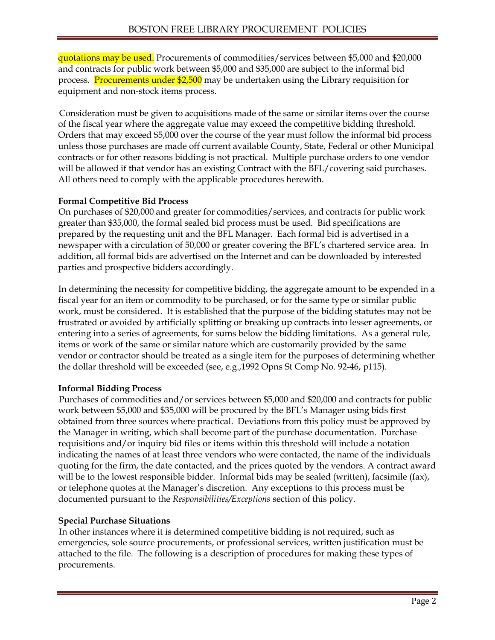quotations may be used. Procurements of commodities/services between \$5,000 and \$20,000 and contracts for public work between \$5,000 and \$35,000 are subject to the informal bid process. Procurements under \$2,500 may be undertaken using the Library requisition for equipment and non-stock items process.

Consideration must be given to acquisitions made of the same or similar items over the course of the fiscal year where the aggregate value may exceed the competitive bidding threshold. Orders that may exceed \$5,000 over the course of the year must follow the informal bid process unless those purchases are made off current available County, State, Federal or other Municipal contracts or for other reasons bidding is not practical. Multiple purchase orders to one vendor will be allowed if that vendor has an existing Contract with the BFL/covering said purchases. All others need to comply with the applicable procedures herewith.

#### **Formal Competitive Bid Process**

On purchases of \$20,000 and greater for commodities/services, and contracts for public work greater than \$35,000, the formal sealed bid process must be used. Bid specifications are prepared by the requesting unit and the BFL Manager. Each formal bid is advertised in a newspaper with a circulation of 50,000 or greater covering the BFL's chartered service area. In addition, all formal bids are advertised on the Internet and can be downloaded by interested parties and prospective bidders accordingly.

In determining the necessity for competitive bidding, the aggregate amount to be expended in a fiscal year for an item or commodity to be purchased, or for the same type or similar public work, must be considered. It is established that the purpose of the bidding statutes may not be frustrated or avoided by artificially splitting or breaking up contracts into lesser agreements, or entering into a series of agreements, for sums below the bidding limitations. As a general rule, items or work of the same or similar nature which are customarily provided by the same vendor or contractor should be treated as a single item for the purposes of determining whether the dollar threshold will be exceeded (see, e.g.,1992 Opns St Comp No. 92-46, p115).

## **Informal Bidding Process**

Purchases of commodities and/or services between \$5,000 and \$20,000 and contracts for public work between \$5,000 and \$35,000 will be procured by the BFL's Manager using bids first obtained from three sources where practical. Deviations from this policy must be approved by the Manager in writing, which shall become part of the purchase documentation. Purchase requisitions and/or inquiry bid files or items within this threshold will include a notation indicating the names of at least three vendors who were contacted, the name of the individuals quoting for the firm, the date contacted, and the prices quoted by the vendors. A contract award will be to the lowest responsible bidder. Informal bids may be sealed (written), facsimile (fax), or telephone quotes at the Manager's discretion. Any exceptions to this process must be documented pursuant to the *Responsibilities/Exceptions* section of this policy.

## **Special Purchase Situations**

In other instances where it is determined competitive bidding is not required, such as emergencies, sole source procurements, or professional services, written justification must be attached to the file. The following is a description of procedures for making these types of procurements.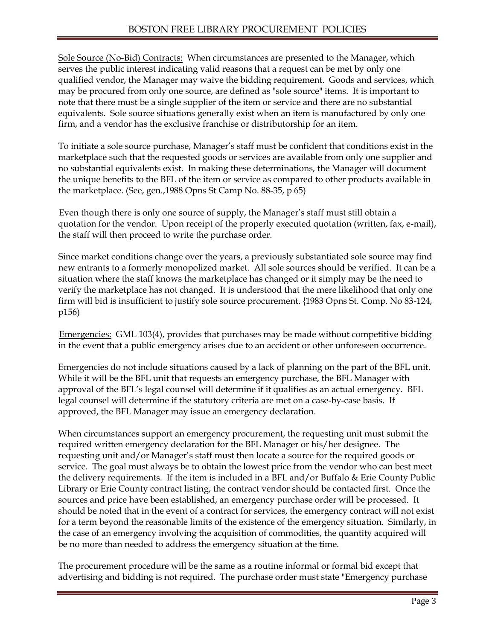Sole Source (No-Bid) Contracts: When circumstances are presented to the Manager, which serves the public interest indicating valid reasons that a request can be met by only one qualified vendor, the Manager may waive the bidding requirement. Goods and services, which may be procured from only one source, are defined as "sole source" items. It is important to note that there must be a single supplier of the item or service and there are no substantial equivalents. Sole source situations generally exist when an item is manufactured by only one firm, and a vendor has the exclusive franchise or distributorship for an item.

To initiate a sole source purchase, Manager's staff must be confident that conditions exist in the marketplace such that the requested goods or services are available from only one supplier and no substantial equivalents exist. In making these determinations, the Manager will document the unique benefits to the BFL of the item or service as compared to other products available in the marketplace. (See, gen.,1988 Opns St Camp No. 88-35, p 65)

Even though there is only one source of supply, the Manager's staff must still obtain a quotation for the vendor. Upon receipt of the properly executed quotation (written, fax, e-mail), the staff will then proceed to write the purchase order.

Since market conditions change over the years, a previously substantiated sole source may find new entrants to a formerly monopolized market. All sole sources should be verified. It can be a situation where the staff knows the marketplace has changed or it simply may be the need to verify the marketplace has not changed. It is understood that the mere likelihood that only one firm will bid is insufficient to justify sole source procurement. {1983 Opns St. Comp. No 83-124, p156)

Emergencies: GML 103(4), provides that purchases may be made without competitive bidding in the event that a public emergency arises due to an accident or other unforeseen occurrence.

Emergencies do not include situations caused by a lack of planning on the part of the BFL unit. While it will be the BFL unit that requests an emergency purchase, the BFL Manager with approval of the BFL's legal counsel will determine if it qualifies as an actual emergency. BFL legal counsel will determine if the statutory criteria are met on a case-by-case basis. If approved, the BFL Manager may issue an emergency declaration.

When circumstances support an emergency procurement, the requesting unit must submit the required written emergency declaration for the BFL Manager or his/her designee. The requesting unit and/or Manager's staff must then locate a source for the required goods or service. The goal must always be to obtain the lowest price from the vendor who can best meet the delivery requirements. If the item is included in a BFL and/or Buffalo & Erie County Public Library or Erie County contract listing, the contract vendor should be contacted first. Once the sources and price have been established, an emergency purchase order will be processed. It should be noted that in the event of a contract for services, the emergency contract will not exist for a term beyond the reasonable limits of the existence of the emergency situation. Similarly, in the case of an emergency involving the acquisition of commodities, the quantity acquired will be no more than needed to address the emergency situation at the time.

The procurement procedure will be the same as a routine informal or formal bid except that advertising and bidding is not required. The purchase order must state "Emergency purchase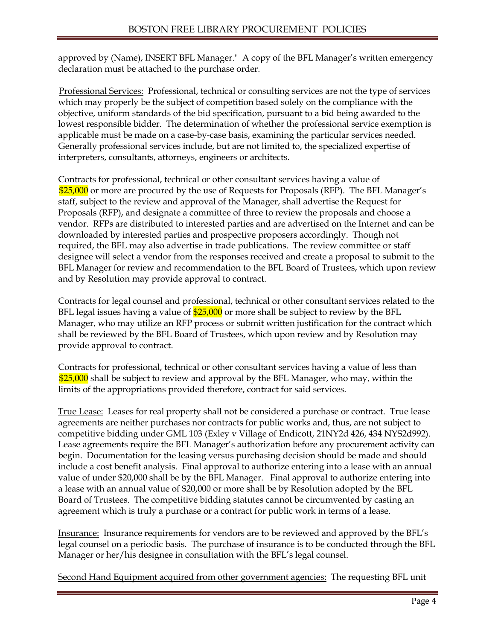approved by (Name), INSERT BFL Manager." A copy of the BFL Manager's written emergency declaration must be attached to the purchase order.

Professional Services: Professional, technical or consulting services are not the type of services which may properly be the subject of competition based solely on the compliance with the objective, uniform standards of the bid specification, pursuant to a bid being awarded to the lowest responsible bidder. The determination of whether the professional service exemption is applicable must be made on a case-by-case basis, examining the particular services needed. Generally professional services include, but are not limited to, the specialized expertise of interpreters, consultants, attorneys, engineers or architects.

Contracts for professional, technical or other consultant services having a value of \$25,000 or more are procured by the use of Requests for Proposals (RFP). The BFL Manager's staff, subject to the review and approval of the Manager, shall advertise the Request for Proposals (RFP), and designate a committee of three to review the proposals and choose a vendor. RFPs are distributed to interested parties and are advertised on the Internet and can be downloaded by interested parties and prospective proposers accordingly. Though not required, the BFL may also advertise in trade publications. The review committee or staff designee will select a vendor from the responses received and create a proposal to submit to the BFL Manager for review and recommendation to the BFL Board of Trustees, which upon review and by Resolution may provide approval to contract.

Contracts for legal counsel and professional, technical or other consultant services related to the BFL legal issues having a value of  $$25,000$  or more shall be subject to review by the BFL Manager, who may utilize an RFP process or submit written justification for the contract which shall be reviewed by the BFL Board of Trustees, which upon review and by Resolution may provide approval to contract.

Contracts for professional, technical or other consultant services having a value of less than \$25,000 shall be subject to review and approval by the BFL Manager, who may, within the limits of the appropriations provided therefore, contract for said services.

True Lease: Leases for real property shall not be considered a purchase or contract. True lease agreements are neither purchases nor contracts for public works and, thus, are not subject to competitive bidding under GML 103 (Exley v Village of Endicott, 21NY2d 426, 434 NYS2d992). Lease agreements require the BFL Manager's authorization before any procurement activity can begin. Documentation for the leasing versus purchasing decision should be made and should include a cost benefit analysis. Final approval to authorize entering into a lease with an annual value of under \$20,000 shall be by the BFL Manager. Final approval to authorize entering into a lease with an annual value of \$20,000 or more shall be by Resolution adopted by the BFL Board of Trustees. The competitive bidding statutes cannot be circumvented by casting an agreement which is truly a purchase or a contract for public work in terms of a lease.

Insurance: Insurance requirements for vendors are to be reviewed and approved by the BFL's legal counsel on a periodic basis. The purchase of insurance is to be conducted through the BFL Manager or her/his designee in consultation with the BFL's legal counsel.

Second Hand Equipment acquired from other government agencies: The requesting BFL unit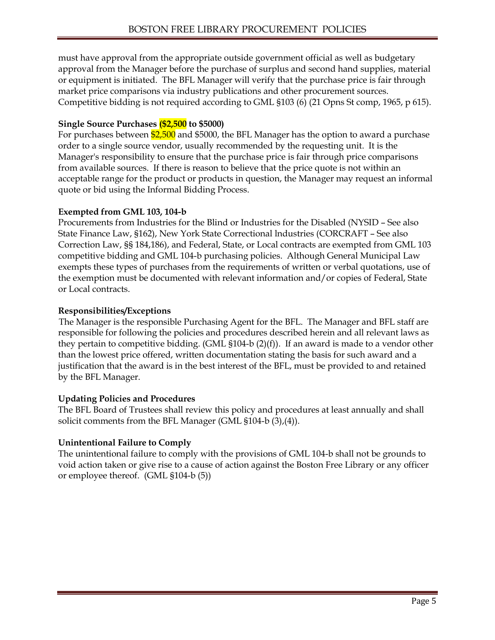must have approval from the appropriate outside government official as well as budgetary approval from the Manager before the purchase of surplus and second hand supplies, material or equipment is initiated. The BFL Manager will verify that the purchase price is fair through market price comparisons via industry publications and other procurement sources. Competitive bidding is not required according to GML §103 (6) (21 Opns St comp, 1965, p 615).

### **Single Source Purchases (\$2,500 to \$5000)**

For purchases between  $$2,500$  and \$5000, the BFL Manager has the option to award a purchase order to a single source vendor, usually recommended by the requesting unit. It is the Manager's responsibility to ensure that the purchase price is fair through price comparisons from available sources. If there is reason to believe that the price quote is not within an acceptable range for the product or products in question, the Manager may request an informal quote or bid using the Informal Bidding Process.

### **Exempted from GML 103, 104-b**

Procurements from Industries for the Blind or Industries for the Disabled (NYSID – See also State Finance Law, §162), New York State Correctional lndustries (CORCRAFT – See also Correction Law, §§ 184,186), and Federal, State, or Local contracts are exempted from GML 103 competitive bidding and GML 104-b purchasing policies. Although General Municipal Law exempts these types of purchases from the requirements of written or verbal quotations, use of the exemption must be documented with relevant information and/or copies of Federal, State or Local contracts.

### **Responsibilities/Exceptions**

The Manager is the responsible Purchasing Agent for the BFL. The Manager and BFL staff are responsible for following the policies and procedures described herein and all relevant laws as they pertain to competitive bidding. (GML  $$104-b (2)(f)$ ). If an award is made to a vendor other than the lowest price offered, written documentation stating the basis for such award and a justification that the award is in the best interest of the BFL, must be provided to and retained by the BFL Manager.

## **Updating Policies and Procedures**

The BFL Board of Trustees shall review this policy and procedures at least annually and shall solicit comments from the BFL Manager (GML §104-b (3),(4)).

## **Unintentional Failure to Comply**

The unintentional failure to comply with the provisions of GML 104-b shall not be grounds to void action taken or give rise to a cause of action against the Boston Free Library or any officer or employee thereof. (GML §104-b (5))